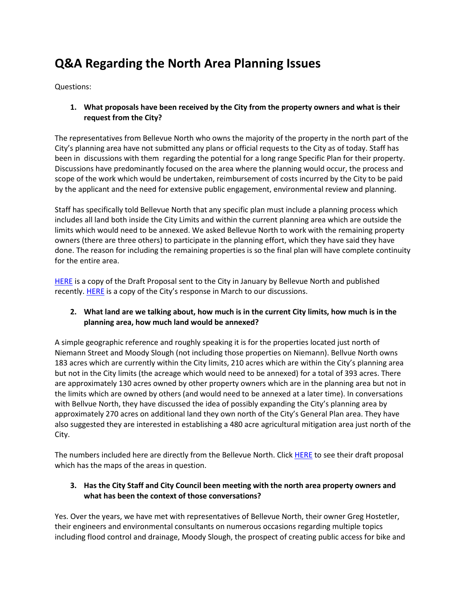# **Q&A Regarding the North Area Planning Issues**

Questions:

**1. What proposals have been received by the City from the property owners and what is their request from the City?**

The representatives from Bellevue North who owns the majority of the property in the north part of the City's planning area have not submitted any plans or official requests to the City as of today. Staff has been in discussions with them regarding the potential for a long range Specific Plan for their property. Discussions have predominantly focused on the area where the planning would occur, the process and scope of the work which would be undertaken, reimbursement of costs incurred by the City to be paid by the applicant and the need for extensive public engagement, environmental review and planning.

Staff has specifically told Bellevue North that any specific plan must include a planning process which includes all land both inside the City Limits and within the current planning area which are outside the limits which would need to be annexed. We asked Bellevue North to work with the remaining property owners (there are three others) to participate in the planning effort, which they have said they have done. The reason for including the remaining properties is so the final plan will have complete continuity for the entire area.

[HERE](http://www.cityofwinters.org/wp-content/uploads/2019/04/DRAFTBellevueNorthPlanningProposal1-18-2019.pdf) is a copy of the Draft Proposal sent to the City in January by Bellevue North and published recently[. HERE](http://www.cityofwinters.org/wp-content/uploads/2019/04/CityofWintersResponsetoBellevueNorthPlanningDiscussions3-13-2019.pdf) is a copy of the City's response in March to our discussions.

## **2. What land are we talking about, how much is in the current City limits, how much is in the planning area, how much land would be annexed?**

A simple geographic reference and roughly speaking it is for the properties located just north of Niemann Street and Moody Slough (not including those properties on Niemann). Bellvue North owns 183 acres which are currently within the City limits, 210 acres which are within the City's planning area but not in the City limits (the acreage which would need to be annexed) for a total of 393 acres. There are approximately 130 acres owned by other property owners which are in the planning area but not in the limits which are owned by others (and would need to be annexed at a later time). In conversations with Bellvue North, they have discussed the idea of possibly expanding the City's planning area by approximately 270 acres on additional land they own north of the City's General Plan area. They have also suggested they are interested in establishing a 480 acre agricultural mitigation area just north of the City.

The numbers included here are directly from the Bellevue North. Click **HERE** to see their draft proposal which has the maps of the areas in question.

## **3. Has the City Staff and City Council been meeting with the north area property owners and what has been the context of those conversations?**

Yes. Over the years, we have met with representatives of Bellevue North, their owner Greg Hostetler, their engineers and environmental consultants on numerous occasions regarding multiple topics including flood control and drainage, Moody Slough, the prospect of creating public access for bike and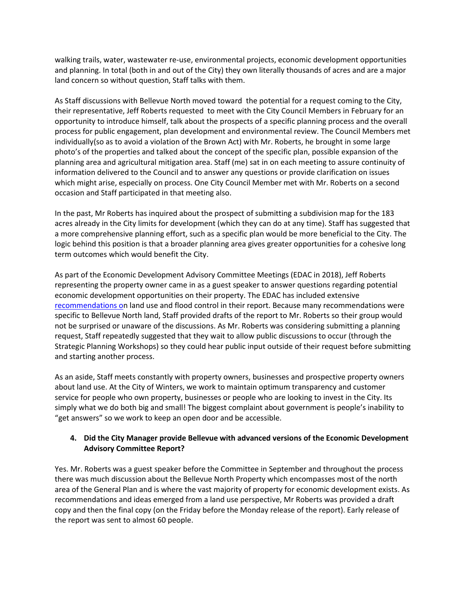walking trails, water, wastewater re-use, environmental projects, economic development opportunities and planning. In total (both in and out of the City) they own literally thousands of acres and are a major land concern so without question, Staff talks with them.

As Staff discussions with Bellevue North moved toward the potential for a request coming to the City, their representative, Jeff Roberts requested to meet with the City Council Members in February for an opportunity to introduce himself, talk about the prospects of a specific planning process and the overall process for public engagement, plan development and environmental review. The Council Members met individually(so as to avoid a violation of the Brown Act) with Mr. Roberts, he brought in some large photo's of the properties and talked about the concept of the specific plan, possible expansion of the planning area and agricultural mitigation area. Staff (me) sat in on each meeting to assure continuity of information delivered to the Council and to answer any questions or provide clarification on issues which might arise, especially on process. One City Council Member met with Mr. Roberts on a second occasion and Staff participated in that meeting also.

In the past, Mr Roberts has inquired about the prospect of submitting a subdivision map for the 183 acres already in the City limits for development (which they can do at any time). Staff has suggested that a more comprehensive planning effort, such as a specific plan would be more beneficial to the City. The logic behind this position is that a broader planning area gives greater opportunities for a cohesive long term outcomes which would benefit the City.

As part of the Economic Development Advisory Committee Meetings (EDAC in 2018), Jeff Roberts representing the property owner came in as a guest speaker to answer questions regarding potential economic development opportunities on their property. The EDAC has included extensive [recommendations on](http://www.cityofwinters.org/wp-content/uploads/2019/04/2019_0329EconomicDevReportFinalReport2a.pdf) land use and flood control in their report. Because many recommendations were specific to Bellevue North land, Staff provided drafts of the report to Mr. Roberts so their group would not be surprised or unaware of the discussions. As Mr. Roberts was considering submitting a planning request, Staff repeatedly suggested that they wait to allow public discussions to occur (through the Strategic Planning Workshops) so they could hear public input outside of their request before submitting and starting another process.

As an aside, Staff meets constantly with property owners, businesses and prospective property owners about land use. At the City of Winters, we work to maintain optimum transparency and customer service for people who own property, businesses or people who are looking to invest in the City. Its simply what we do both big and small! The biggest complaint about government is people's inability to "get answers" so we work to keep an open door and be accessible.

## **4. Did the City Manager provide Bellevue with advanced versions of the Economic Development Advisory Committee Report?**

Yes. Mr. Roberts was a guest speaker before the Committee in September and throughout the process there was much discussion about the Bellevue North Property which encompasses most of the north area of the General Plan and is where the vast majority of property for economic development exists. As recommendations and ideas emerged from a land use perspective, Mr Roberts was provided a draft copy and then the final copy (on the Friday before the Monday release of the report). Early release of the report was sent to almost 60 people.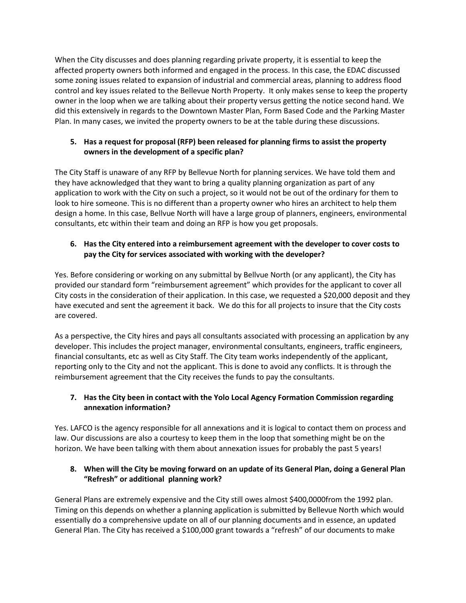When the City discusses and does planning regarding private property, it is essential to keep the affected property owners both informed and engaged in the process. In this case, the EDAC discussed some zoning issues related to expansion of industrial and commercial areas, planning to address flood control and key issues related to the Bellevue North Property. It only makes sense to keep the property owner in the loop when we are talking about their property versus getting the notice second hand. We did this extensively in regards to the Downtown Master Plan, Form Based Code and the Parking Master Plan. In many cases, we invited the property owners to be at the table during these discussions.

## **5. Has a request for proposal (RFP) been released for planning firms to assist the property owners in the development of a specific plan?**

The City Staff is unaware of any RFP by Bellevue North for planning services. We have told them and they have acknowledged that they want to bring a quality planning organization as part of any application to work with the City on such a project, so it would not be out of the ordinary for them to look to hire someone. This is no different than a property owner who hires an architect to help them design a home. In this case, Bellvue North will have a large group of planners, engineers, environmental consultants, etc within their team and doing an RFP is how you get proposals.

# **6. Has the City entered into a reimbursement agreement with the developer to cover costs to pay the City for services associated with working with the developer?**

Yes. Before considering or working on any submittal by Bellvue North (or any applicant), the City has provided our standard form "reimbursement agreement" which provides for the applicant to cover all City costs in the consideration of their application. In this case, we requested a \$20,000 deposit and they have executed and sent the agreement it back. We do this for all projects to insure that the City costs are covered.

As a perspective, the City hires and pays all consultants associated with processing an application by any developer. This includes the project manager, environmental consultants, engineers, traffic engineers, financial consultants, etc as well as City Staff. The City team works independently of the applicant, reporting only to the City and not the applicant. This is done to avoid any conflicts. It is through the reimbursement agreement that the City receives the funds to pay the consultants.

# **7. Has the City been in contact with the Yolo Local Agency Formation Commission regarding annexation information?**

Yes. LAFCO is the agency responsible for all annexations and it is logical to contact them on process and law. Our discussions are also a courtesy to keep them in the loop that something might be on the horizon. We have been talking with them about annexation issues for probably the past 5 years!

# **8. When will the City be moving forward on an update of its General Plan, doing a General Plan "Refresh" or additional planning work?**

General Plans are extremely expensive and the City still owes almost \$400,0000from the 1992 plan. Timing on this depends on whether a planning application is submitted by Bellevue North which would essentially do a comprehensive update on all of our planning documents and in essence, an updated General Plan. The City has received a \$100,000 grant towards a "refresh" of our documents to make